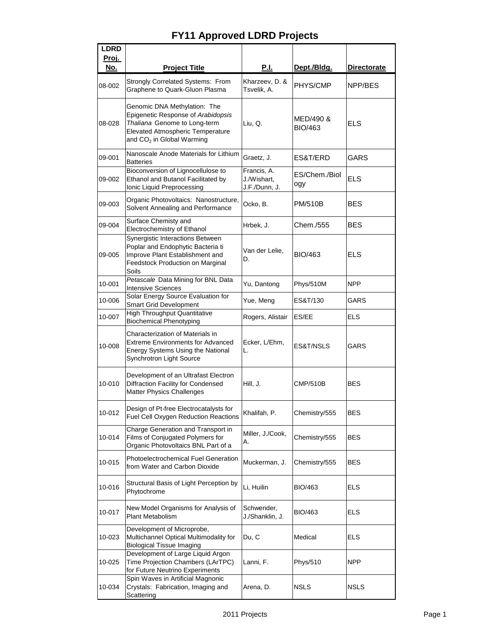| <b>LDRD</b> |                                                                                                                                                                                        |                                             |                             |                    |
|-------------|----------------------------------------------------------------------------------------------------------------------------------------------------------------------------------------|---------------------------------------------|-----------------------------|--------------------|
| Proj.       |                                                                                                                                                                                        |                                             |                             |                    |
| No.         | <b>Project Title</b>                                                                                                                                                                   | <b>P.I.</b>                                 | Dept./Bldg.                 | <b>Directorate</b> |
| 08-002      | Strongly Correlated Systems: From<br>Graphene to Quark-Gluon Plasma                                                                                                                    | Kharzeev, D. &<br>Tsvelik, A.               | PHYS/CMP                    | NPP/BES            |
| 08-028      | Genomic DNA Methylation: The<br>Epigenetic Response of Arabidopsis<br>Thaliana Genome to Long-term<br><b>Elevated Atmospheric Temperature</b><br>and CO <sub>2</sub> in Global Warming | Liu, Q.                                     | MED/490 &<br><b>BIO/463</b> | <b>ELS</b>         |
| 09-001      | Nanoscale Anode Materials for Lithium<br><b>Batteries</b>                                                                                                                              | Graetz, J.                                  | ES&T/ERD                    | GARS               |
| 09-002      | Bioconversion of Lignocellulose to<br>Ethanol and Butanol Facilitated by<br>Ionic Liquid Preprocessing                                                                                 | Francis, A.<br>J./Wishart,<br>J.F./Dunn, J. | ES/Chem./Biol<br>ogy        | <b>ELS</b>         |
| 09-003      | Organic Photovoltaics: Nanostructure,<br>Solvent Annealing and Performance                                                                                                             | Ocko, B.                                    | <b>PM/510B</b>              | <b>BES</b>         |
| 09-004      | Surface Chemisty and<br>Electrochemistry of Ethanol                                                                                                                                    | Hrbek, J.                                   | Chem./555                   | <b>BES</b>         |
| 09-005      | Synergistic Interactions Between<br>Poplar and Endophytic Bacteria ti<br>Improve Plant Establishment and<br>Feedstock Production on Marginal<br>Soils                                  | Van der Lelie,<br>D.                        | <b>BIO/463</b>              | <b>ELS</b>         |
| 10-001      | Petascale Data Mining for BNL Data<br><b>Intensive Sciences</b>                                                                                                                        | Yu, Dantong                                 | Phys/510M                   | <b>NPP</b>         |
| 10-006      | Solar Energy Source Evaluation for<br><b>Smart Grid Development</b>                                                                                                                    | Yue, Meng                                   | ES&T/130                    | <b>GARS</b>        |
| 10-007      | <b>High Throughput Quantitative</b><br><b>Biochemical Phenotyping</b>                                                                                                                  | Rogers, Alistair                            | ES/EE                       | <b>ELS</b>         |
| 10-008      | Characterization of Materials in<br><b>Extreme Environments for Advanced</b><br>Energy Systems Using the National<br>Synchrotron Light Source                                          | Ecker, L/Ehm,<br>L.                         | ES&T/NSLS                   | GARS               |
| 10-010      | Development of an Ultrafast Electron<br><b>Diffraction Facility for Condensed</b><br><b>Matter Physics Challenges</b>                                                                  | Hill, J.                                    | <b>CMP/510B</b>             | <b>BES</b>         |
| 10-012      | Design of Pt-free Electrocatalysts for<br>Fuel Cell Oxygen Reduction Reactions                                                                                                         | Khalifah, P.                                | Chemistry/555               | <b>BES</b>         |
| 10-014      | Charge Generation and Transport in<br>Films of Conjugated Polymers for<br>Organic Photovoltaics BNL Part of a                                                                          | Miller, J./Cook,<br>А.                      | Chemistry/555               | <b>BES</b>         |
| 10-015      | Photoelectrochemical Fuel Generation<br>from Water and Carbon Dioxide                                                                                                                  | Muckerman, J.                               | Chemistry/555               | <b>BES</b>         |
| 10-016      | Structural Basis of Light Perception by<br>Phytochrome                                                                                                                                 | Li, Huilin                                  | <b>BIO/463</b>              | <b>ELS</b>         |
| 10-017      | New Model Organisms for Analysis of<br>Plant Metabolism                                                                                                                                | Schwender,<br>J./Shanklin, J.               | <b>BIO/463</b>              | <b>ELS</b>         |
| 10-023      | Development of Microprobe,<br>Multichannel Optical Multimodality for<br><b>Biological Tissue Imaging</b>                                                                               | Du, C                                       | Medical                     | <b>ELS</b>         |
| 10-025      | Development of Large Liquid Argon<br>Time Projection Chambers (LArTPC)<br>for Future Neutrino Experiments                                                                              | Lanni, F.                                   | Phys/510                    | <b>NPP</b>         |
| 10-034      | Spin Waves in Artificial Magnonic<br>Crystals: Fabrication, Imaging and<br>Scattering                                                                                                  | Arena, D.                                   | <b>NSLS</b>                 | <b>NSLS</b>        |

## **FY11 Approved LDRD Projects**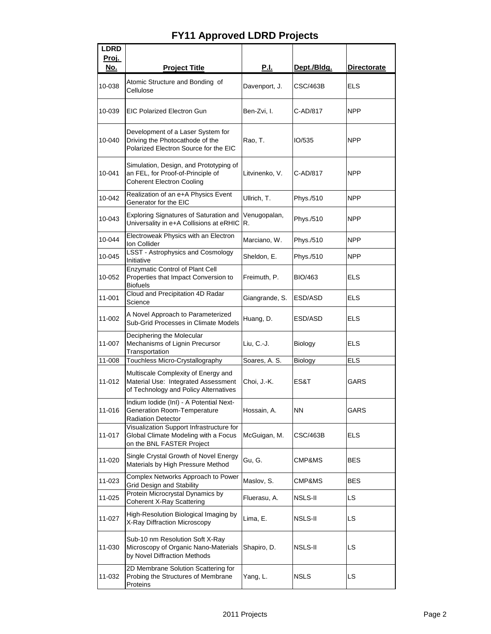| <b>LDRD</b>  |                                                                                                                     |                    |                 |                    |
|--------------|---------------------------------------------------------------------------------------------------------------------|--------------------|-----------------|--------------------|
| <u>Proj.</u> |                                                                                                                     |                    |                 |                    |
| <u>No.</u>   | <b>Project Title</b>                                                                                                | <u>P.I.</u>        | Dept./Bldg.     | <b>Directorate</b> |
| 10-038       | Atomic Structure and Bonding of<br>Cellulose                                                                        | Davenport, J.      | <b>CSC/463B</b> | <b>ELS</b>         |
| 10-039       | <b>EIC Polarized Electron Gun</b>                                                                                   | Ben-Zvi, I.        | C-AD/817        | <b>NPP</b>         |
| 10-040       | Development of a Laser System for<br>Driving the Photocathode of the<br>Polarized Electron Source for the EIC       | Rao, T.            | IO/535          | <b>NPP</b>         |
| 10-041       | Simulation, Design, and Prototyping of<br>an FEL, for Proof-of-Principle of<br><b>Coherent Electron Cooling</b>     | Litvinenko, V.     | C-AD/817        | <b>NPP</b>         |
| 10-042       | Realization of an e+A Physics Event<br>Generator for the EIC                                                        | Ullrich, T.        | Phys./510       | <b>NPP</b>         |
| 10-043       | Exploring Signatures of Saturation and<br>Universality in e+A Collisions at eRHIC                                   | Venugopalan,<br>R. | Phys./510       | <b>NPP</b>         |
| 10-044       | Electroweak Physics with an Electron<br>Ion Collider                                                                | Marciano, W.       | Phys./510       | <b>NPP</b>         |
| 10-045       | <b>LSST - Astrophysics and Cosmology</b><br>Initiative                                                              | Sheldon, E.        | Phys./510       | <b>NPP</b>         |
| 10-052       | <b>Enzymatic Control of Plant Cell</b><br>Properties that Impact Conversion to<br><b>Biofuels</b>                   | Freimuth, P.       | <b>BIO/463</b>  | <b>ELS</b>         |
| 11-001       | Cloud and Precipitation 4D Radar<br>Science                                                                         | Giangrande, S.     | ESD/ASD         | <b>ELS</b>         |
| 11-002       | A Novel Approach to Parameterized<br>Sub-Grid Processes in Climate Models                                           | Huang, D.          | ESD/ASD         | <b>ELS</b>         |
| 11-007       | Deciphering the Molecular<br>Mechanisms of Lignin Precursor<br>Transportation                                       | Liu, C.-J.         | Biology         | <b>ELS</b>         |
| 11-008       | Touchless Micro-Crystallography                                                                                     | Soares, A. S.      | Biology         | <b>ELS</b>         |
| 11-012       | Multiscale Complexity of Energy and<br>Material Use: Integrated Assessment<br>of Technology and Policy Alternatives | Choi, J.-K.        | ES&T            | GARS               |
| 11-016       | Indium Iodide (InI) - A Potential Next-<br><b>Generation Room-Temperature</b><br><b>Radiation Detector</b>          | Hossain, A.        | <b>NN</b>       | <b>GARS</b>        |
| 11-017       | Visualization Support Infrastructure for<br>Global Climate Modeling with a Focus<br>on the BNL FASTER Project       | McGuigan, M.       | <b>CSC/463B</b> | <b>ELS</b>         |
| 11-020       | Single Crystal Growth of Novel Energy<br>Materials by High Pressure Method                                          | Gu, G.             | CMP&MS          | <b>BES</b>         |
| 11-023       | Complex Networks Approach to Power<br><b>Grid Design and Stability</b>                                              | Maslov, S.         | CMP&MS          | <b>BES</b>         |
| 11-025       | Protein Microcrystal Dynamics by<br><b>Coherent X-Ray Scattering</b>                                                | Fluerasu, A.       | NSLS-II         | LS.                |
| 11-027       | High-Resolution Biological Imaging by<br>X-Ray Diffraction Microscopy                                               | Lima, E.           | NSLS-II         | <b>LS</b>          |
| 11-030       | Sub-10 nm Resolution Soft X-Ray<br>Microscopy of Organic Nano-Materials<br>by Novel Diffraction Methods             | Shapiro, D.        | NSLS-II         | LS                 |
| 11-032       | 2D Membrane Solution Scattering for<br>Probing the Structures of Membrane<br>Proteins                               | Yang, L.           | <b>NSLS</b>     | LS                 |

## **FY11 Approved LDRD Projects**